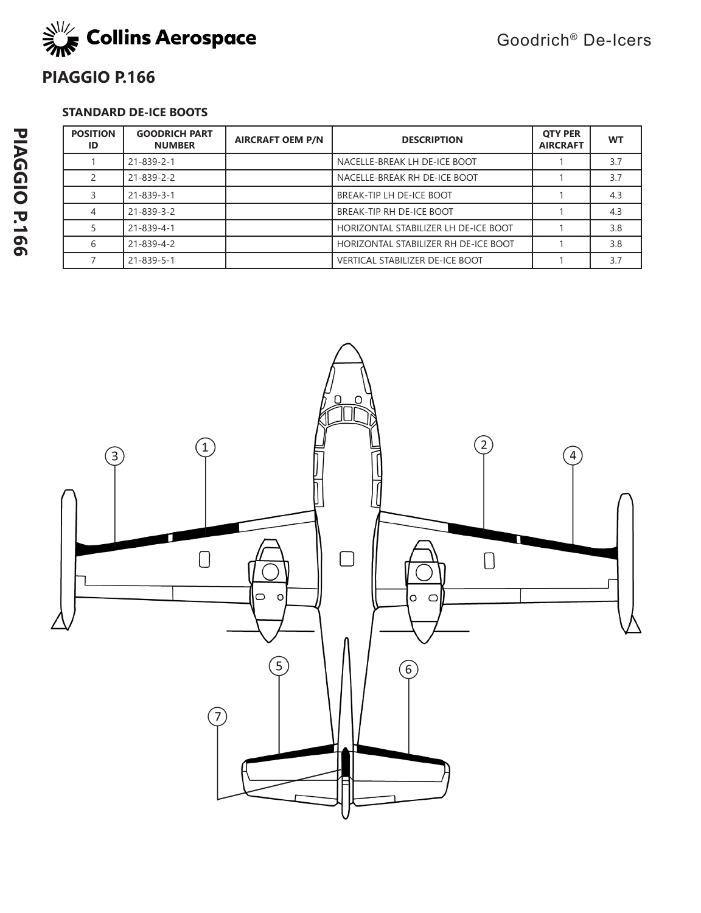

# **PIAGGIO P.166**

## **STANDARD DE-ICE BOOTS**

| <b>POSITION</b><br>ID | <b>GOODRICH PART</b><br><b>NUMBER</b> | <b>AIRCRAFT OEM P/N</b> | <b>DESCRIPTION</b>                     | <b>OTY PER</b><br><b>AIRCRAFT</b> | <b>WT</b> |
|-----------------------|---------------------------------------|-------------------------|----------------------------------------|-----------------------------------|-----------|
|                       | $21 - 839 - 2 - 1$                    |                         | NACELLE-BREAK LH DE-ICE BOOT           |                                   | 3.7       |
|                       | $21 - 839 - 2 - 2$                    |                         | NACELLE-BREAK RH DE-ICE BOOT           |                                   | 3.7       |
|                       | $21 - 839 - 3 - 1$                    |                         | BREAK-TIP LH DE-ICE BOOT               |                                   | 4.3       |
|                       | $21 - 839 - 3 - 2$                    |                         | BREAK-TIP RH DE-ICE BOOT               |                                   | 4.3       |
|                       | $21 - 839 - 4 - 1$                    |                         | HORIZONTAL STABILIZER LH DE-ICE BOOT   |                                   | 3.8       |
| 6                     | $21 - 839 - 4 - 2$                    |                         | HORIZONTAL STABILIZER RH DE-ICE BOOT   |                                   | 3.8       |
|                       | $21 - 839 - 5 - 1$                    |                         | <b>VERTICAL STABILIZER DE-ICE BOOT</b> |                                   | 3.7       |

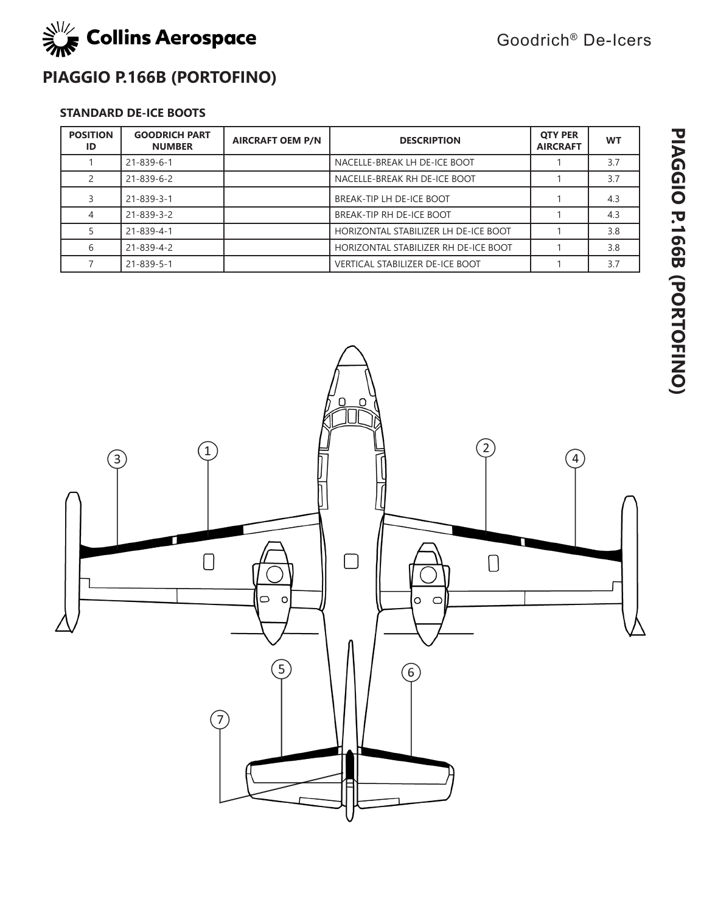

Goodrich® De-Icers

# **PIAGGIO P.166B (PORTOFINO)**

## **STANDARD DE-ICE BOOTS**

| <b>POSITION</b><br>ID | <b>GOODRICH PART</b><br><b>NUMBER</b> | <b>AIRCRAFT OEM P/N</b> | <b>DESCRIPTION</b>                     | <b>OTY PER</b><br><b>AIRCRAFT</b> | <b>WT</b> |
|-----------------------|---------------------------------------|-------------------------|----------------------------------------|-----------------------------------|-----------|
|                       | $21 - 839 - 6 - 1$                    |                         | NACELLE-BREAK LH DE-ICE BOOT           |                                   | 3.7       |
|                       | 21-839-6-2                            |                         | NACELLE-BREAK RH DE-ICE BOOT           |                                   | 3.7       |
|                       | 21-839-3-1                            |                         | BREAK-TIP LH DE-ICE BOOT               |                                   | 4.3       |
|                       | 21-839-3-2                            |                         | BREAK-TIP RH DE-ICE BOOT               |                                   | 4.3       |
|                       | 21-839-4-1                            |                         | HORIZONTAL STABILIZER LH DE-ICE BOOT   |                                   | 3.8       |
| 6                     | $21 - 839 - 4 - 2$                    |                         | HORIZONTAL STABILIZER RH DE-ICE BOOT   |                                   | 3.8       |
|                       | $21 - 839 - 5 - 1$                    |                         | <b>VERTICAL STABILIZER DE-ICE BOOT</b> |                                   | 3.7       |

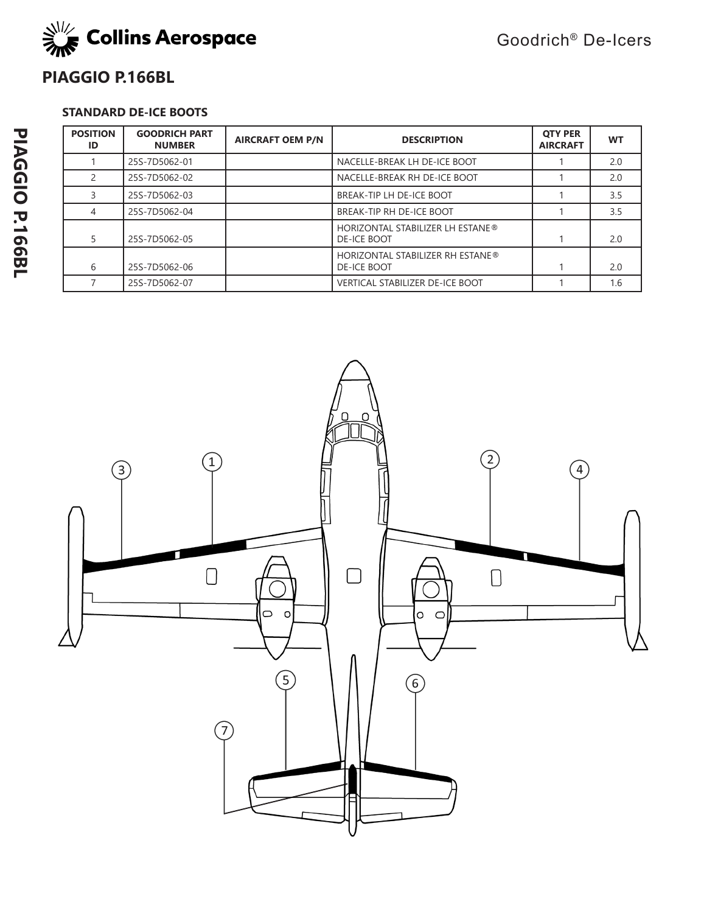

## **PIAGGIO P.166BL**

## **STANDARD DE-ICE BOOTS**

| <b>POSITION</b><br>ID | <b>GOODRICH PART</b><br><b>NUMBER</b> | <b>AIRCRAFT OEM P/N</b> | <b>DESCRIPTION</b>                                            | <b>OTY PER</b><br><b>AIRCRAFT</b> | <b>WT</b> |
|-----------------------|---------------------------------------|-------------------------|---------------------------------------------------------------|-----------------------------------|-----------|
|                       | 25S-7D5062-01                         |                         | NACELLE-BREAK LH DE-ICE BOOT                                  |                                   | 2.0       |
|                       | 25S-7D5062-02                         |                         | NACELLE-BREAK RH DE-ICE BOOT                                  |                                   | 2.0       |
|                       | 25S-7D5062-03                         |                         | BREAK-TIP LH DE-ICE BOOT                                      |                                   | 3.5       |
| 4                     | 25S-7D5062-04                         |                         | BREAK-TIP RH DE-ICE BOOT                                      |                                   | 3.5       |
| 5                     | 25S-7D5062-05                         |                         | <b>HORIZONTAL STABILIZER LH ESTANE®</b><br>DE-ICE BOOT        |                                   | 2.0       |
| 6                     | 25S-7D5062-06                         |                         | <b>HORIZONTAL STABILIZER RH ESTANE®</b><br><b>DE-ICE BOOT</b> |                                   | 2.0       |
|                       | 25S-7D5062-07                         |                         | <b>VERTICAL STABILIZER DE-ICE BOOT</b>                        |                                   | 1.6       |